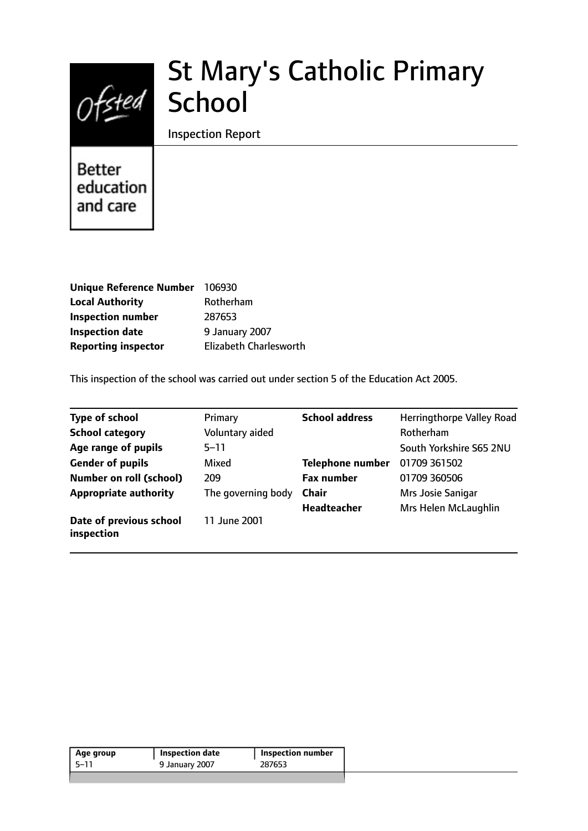

# St Mary's Catholic Primary School

Inspection Report

## **Better** education and care

| 106930                        |
|-------------------------------|
| Rotherham                     |
| 287653                        |
| 9 January 2007                |
| <b>Elizabeth Charlesworth</b> |
|                               |

This inspection of the school was carried out under section 5 of the Education Act 2005.

| <b>Type of school</b>                 | Primary            | <b>School address</b>   | <b>Herringthorpe Valley Road</b> |
|---------------------------------------|--------------------|-------------------------|----------------------------------|
| <b>School category</b>                | Voluntary aided    |                         | Rotherham                        |
| Age range of pupils                   | $5 - 11$           |                         | South Yorkshire S65 2NU          |
| <b>Gender of pupils</b>               | <b>Mixed</b>       | <b>Telephone number</b> | 01709 361502                     |
| <b>Number on roll (school)</b>        | 209                | <b>Fax number</b>       | 01709 360506                     |
| <b>Appropriate authority</b>          | The governing body | <b>Chair</b>            | Mrs Josie Sanigar                |
|                                       |                    | <b>Headteacher</b>      | Mrs Helen McLaughlin             |
| Date of previous school<br>inspection | 11 June 2001       |                         |                                  |

| Age group | <b>Inspection date</b> | $\mathsf{I}$ Inspection number |
|-----------|------------------------|--------------------------------|
| -5–11     | 9 January 2007         | 287653                         |
|           |                        |                                |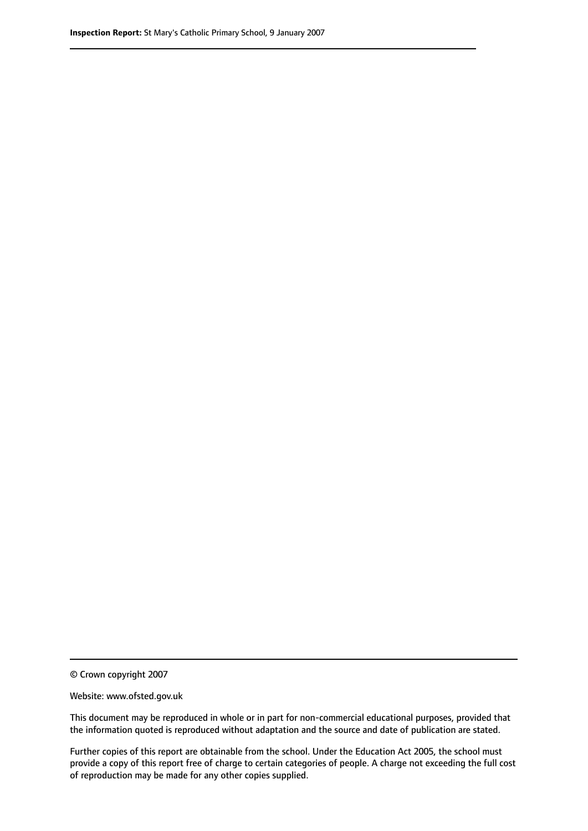© Crown copyright 2007

Website: www.ofsted.gov.uk

This document may be reproduced in whole or in part for non-commercial educational purposes, provided that the information quoted is reproduced without adaptation and the source and date of publication are stated.

Further copies of this report are obtainable from the school. Under the Education Act 2005, the school must provide a copy of this report free of charge to certain categories of people. A charge not exceeding the full cost of reproduction may be made for any other copies supplied.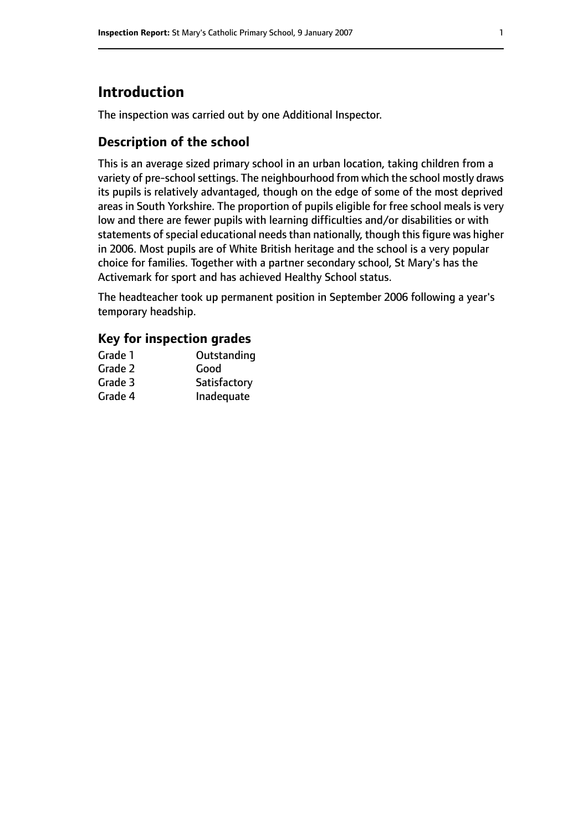## **Introduction**

The inspection was carried out by one Additional Inspector.

## **Description of the school**

This is an average sized primary school in an urban location, taking children from a variety of pre-school settings. The neighbourhood from which the school mostly draws its pupils is relatively advantaged, though on the edge of some of the most deprived areas in South Yorkshire. The proportion of pupils eligible for free school meals is very low and there are fewer pupils with learning difficulties and/or disabilities or with statements of special educational needs than nationally, though this figure was higher in 2006. Most pupils are of White British heritage and the school is a very popular choice for families. Together with a partner secondary school, St Mary's has the Activemark for sport and has achieved Healthy School status.

The headteacher took up permanent position in September 2006 following a year's temporary headship.

### **Key for inspection grades**

| Grade 1 | Outstanding  |
|---------|--------------|
| Grade 2 | Good         |
| Grade 3 | Satisfactory |
| Grade 4 | Inadequate   |
|         |              |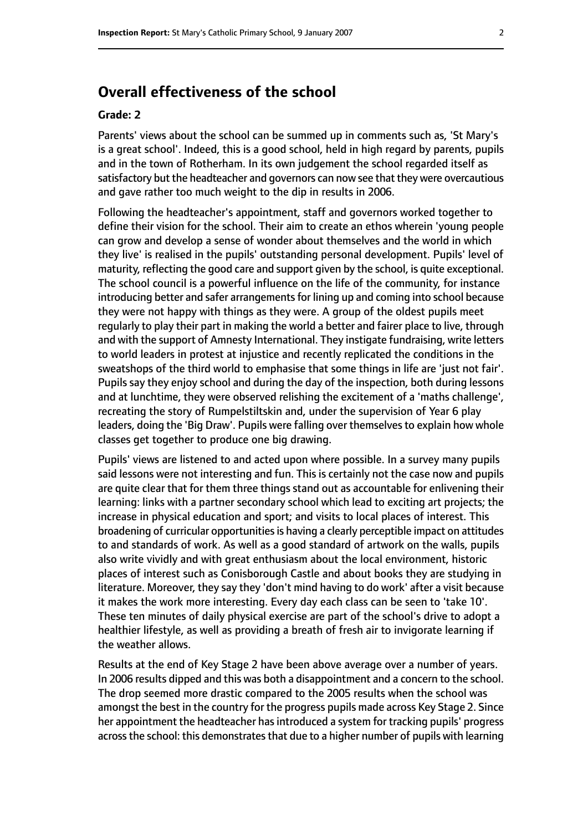## **Overall effectiveness of the school**

#### **Grade: 2**

Parents' views about the school can be summed up in comments such as, 'St Mary's is a great school'. Indeed, this is a good school, held in high regard by parents, pupils and in the town of Rotherham. In its own judgement the school regarded itself as satisfactory but the headteacher and governors can now see that they were overcautious and gave rather too much weight to the dip in results in 2006.

Following the headteacher's appointment, staff and governors worked together to define their vision for the school. Their aim to create an ethos wherein 'young people can grow and develop a sense of wonder about themselves and the world in which they live' is realised in the pupils' outstanding personal development. Pupils' level of maturity, reflecting the good care and support given by the school, is quite exceptional. The school council is a powerful influence on the life of the community, for instance introducing better and safer arrangements for lining up and coming into school because they were not happy with things as they were. A group of the oldest pupils meet regularly to play their part in making the world a better and fairer place to live, through and with the support of Amnesty International. They instigate fundraising, write letters to world leaders in protest at injustice and recently replicated the conditions in the sweatshops of the third world to emphasise that some things in life are 'just not fair'. Pupils say they enjoy school and during the day of the inspection, both during lessons and at lunchtime, they were observed relishing the excitement of a 'maths challenge', recreating the story of Rumpelstiltskin and, under the supervision of Year 6 play leaders, doing the 'Big Draw'. Pupils were falling over themselves to explain how whole classes get together to produce one big drawing.

Pupils' views are listened to and acted upon where possible. In a survey many pupils said lessons were not interesting and fun. This is certainly not the case now and pupils are quite clear that for them three things stand out as accountable for enlivening their learning: links with a partner secondary school which lead to exciting art projects; the increase in physical education and sport; and visits to local places of interest. This broadening of curricular opportunities is having a clearly perceptible impact on attitudes to and standards of work. As well as a good standard of artwork on the walls, pupils also write vividly and with great enthusiasm about the local environment, historic places of interest such as Conisborough Castle and about books they are studying in literature. Moreover, they say they 'don't mind having to do work' after a visit because it makes the work more interesting. Every day each class can be seen to 'take 10'. These ten minutes of daily physical exercise are part of the school's drive to adopt a healthier lifestyle, as well as providing a breath of fresh air to invigorate learning if the weather allows.

Results at the end of Key Stage 2 have been above average over a number of years. In 2006 results dipped and this was both a disappointment and a concern to the school. The drop seemed more drastic compared to the 2005 results when the school was amongst the best in the country for the progress pupils made across Key Stage 2. Since her appointment the headteacher has introduced a system for tracking pupils' progress across the school: this demonstrates that due to a higher number of pupils with learning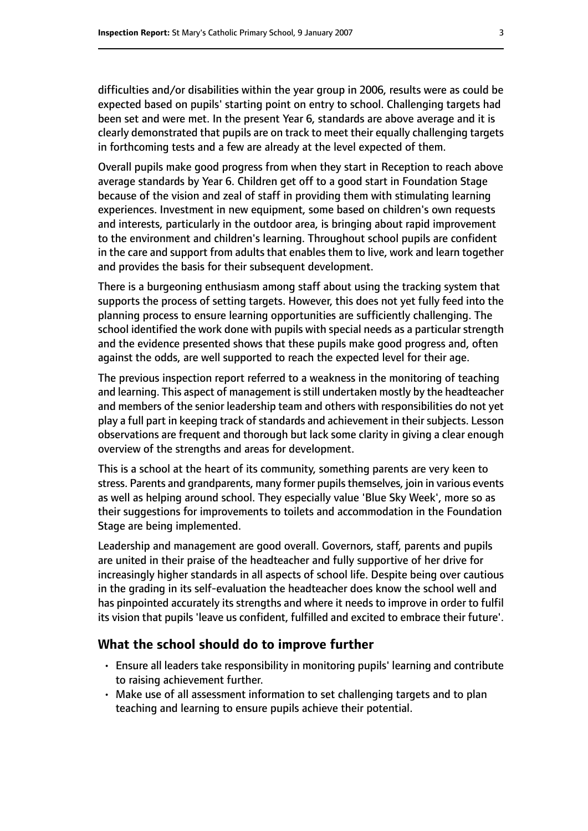difficulties and/or disabilities within the year group in 2006, results were as could be expected based on pupils' starting point on entry to school. Challenging targets had been set and were met. In the present Year 6, standards are above average and it is clearly demonstrated that pupils are on track to meet their equally challenging targets in forthcoming tests and a few are already at the level expected of them.

Overall pupils make good progress from when they start in Reception to reach above average standards by Year 6. Children get off to a good start in Foundation Stage because of the vision and zeal of staff in providing them with stimulating learning experiences. Investment in new equipment, some based on children's own requests and interests, particularly in the outdoor area, is bringing about rapid improvement to the environment and children's learning. Throughout school pupils are confident in the care and support from adults that enables them to live, work and learn together and provides the basis for their subsequent development.

There is a burgeoning enthusiasm among staff about using the tracking system that supports the process of setting targets. However, this does not yet fully feed into the planning process to ensure learning opportunities are sufficiently challenging. The school identified the work done with pupils with special needs as a particular strength and the evidence presented shows that these pupils make good progress and, often against the odds, are well supported to reach the expected level for their age.

The previous inspection report referred to a weakness in the monitoring of teaching and learning. This aspect of management isstill undertaken mostly by the headteacher and members of the senior leadership team and others with responsibilities do not yet play a full part in keeping track of standards and achievement in their subjects. Lesson observations are frequent and thorough but lack some clarity in giving a clear enough overview of the strengths and areas for development.

This is a school at the heart of its community, something parents are very keen to stress. Parents and grandparents, many former pupils themselves, join in various events as well as helping around school. They especially value 'Blue Sky Week', more so as their suggestions for improvements to toilets and accommodation in the Foundation Stage are being implemented.

Leadership and management are good overall. Governors, staff, parents and pupils are united in their praise of the headteacher and fully supportive of her drive for increasingly higher standards in all aspects of school life. Despite being over cautious in the grading in its self-evaluation the headteacher does know the school well and has pinpointed accurately its strengths and where it needs to improve in order to fulfil its vision that pupils 'leave us confident, fulfilled and excited to embrace their future'.

#### **What the school should do to improve further**

- Ensure all leaders take responsibility in monitoring pupils' learning and contribute to raising achievement further.
- Make use of all assessment information to set challenging targets and to plan teaching and learning to ensure pupils achieve their potential.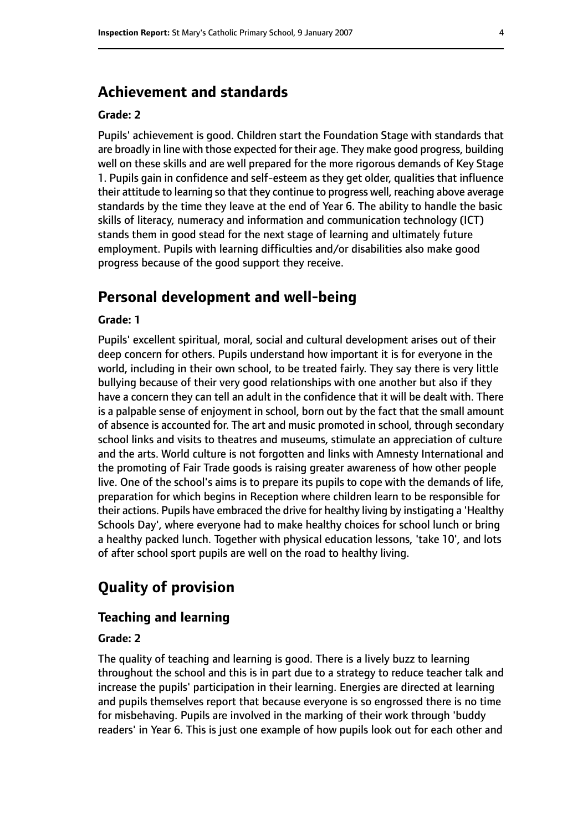## **Achievement and standards**

#### **Grade: 2**

Pupils' achievement is good. Children start the Foundation Stage with standards that are broadly in line with those expected for their age. They make good progress, building well on these skills and are well prepared for the more rigorous demands of Key Stage 1. Pupils gain in confidence and self-esteem as they get older, qualities that influence their attitude to learning so that they continue to progress well, reaching above average standards by the time they leave at the end of Year 6. The ability to handle the basic skills of literacy, numeracy and information and communication technology (ICT) stands them in good stead for the next stage of learning and ultimately future employment. Pupils with learning difficulties and/or disabilities also make good progress because of the good support they receive.

## **Personal development and well-being**

#### **Grade: 1**

Pupils' excellent spiritual, moral, social and cultural development arises out of their deep concern for others. Pupils understand how important it is for everyone in the world, including in their own school, to be treated fairly. They say there is very little bullying because of their very good relationships with one another but also if they have a concern they can tell an adult in the confidence that it will be dealt with. There is a palpable sense of enjoyment in school, born out by the fact that the small amount of absence is accounted for. The art and music promoted in school, through secondary school links and visits to theatres and museums, stimulate an appreciation of culture and the arts. World culture is not forgotten and links with Amnesty International and the promoting of Fair Trade goods is raising greater awareness of how other people live. One of the school's aims is to prepare its pupils to cope with the demands of life, preparation for which begins in Reception where children learn to be responsible for their actions. Pupils have embraced the drive for healthy living by instigating a 'Healthy Schools Day', where everyone had to make healthy choices for school lunch or bring a healthy packed lunch. Together with physical education lessons, 'take 10', and lots of after school sport pupils are well on the road to healthy living.

## **Quality of provision**

#### **Teaching and learning**

#### **Grade: 2**

The quality of teaching and learning is good. There is a lively buzz to learning throughout the school and this is in part due to a strategy to reduce teacher talk and increase the pupils' participation in their learning. Energies are directed at learning and pupils themselves report that because everyone is so engrossed there is no time for misbehaving. Pupils are involved in the marking of their work through 'buddy readers' in Year 6. This is just one example of how pupils look out for each other and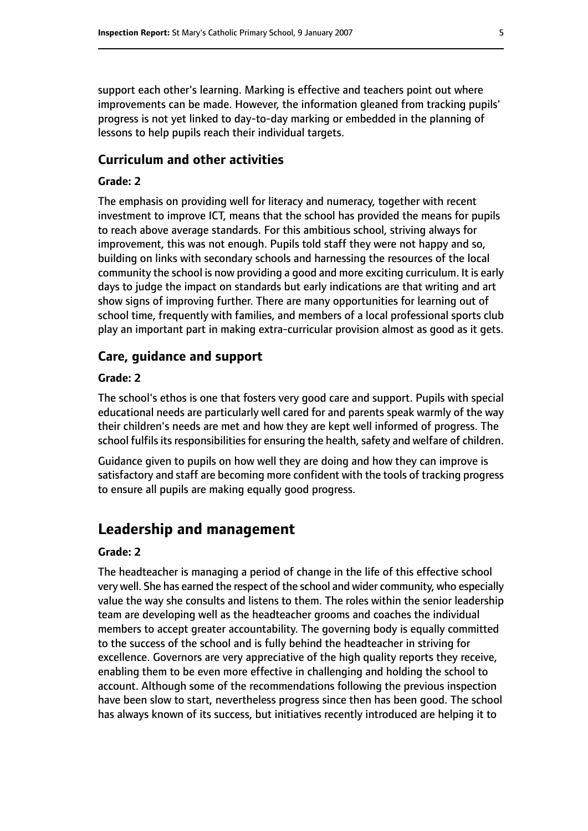support each other's learning. Marking is effective and teachers point out where improvements can be made. However, the information gleaned from tracking pupils' progress is not yet linked to day-to-day marking or embedded in the planning of lessons to help pupils reach their individual targets.

#### **Curriculum and other activities**

#### **Grade: 2**

The emphasis on providing well for literacy and numeracy, together with recent investment to improve ICT, means that the school has provided the means for pupils to reach above average standards. For this ambitious school, striving always for improvement, this was not enough. Pupils told staff they were not happy and so, building on links with secondary schools and harnessing the resources of the local community the school is now providing a good and more exciting curriculum. It is early days to judge the impact on standards but early indications are that writing and art show signs of improving further. There are many opportunities for learning out of school time, frequently with families, and members of a local professional sports club play an important part in making extra-curricular provision almost as good as it gets.

#### **Care, guidance and support**

#### **Grade: 2**

The school's ethos is one that fosters very good care and support. Pupils with special educational needs are particularly well cared for and parents speak warmly of the way their children's needs are met and how they are kept well informed of progress. The school fulfils its responsibilities for ensuring the health, safety and welfare of children.

Guidance given to pupils on how well they are doing and how they can improve is satisfactory and staff are becoming more confident with the tools of tracking progress to ensure all pupils are making equally good progress.

## **Leadership and management**

#### **Grade: 2**

The headteacher is managing a period of change in the life of this effective school very well. She has earned the respect of the school and wider community, who especially value the way she consults and listens to them. The roles within the senior leadership team are developing well as the headteacher grooms and coaches the individual members to accept greater accountability. The governing body is equally committed to the success of the school and is fully behind the headteacher in striving for excellence. Governors are very appreciative of the high quality reports they receive, enabling them to be even more effective in challenging and holding the school to account. Although some of the recommendations following the previous inspection have been slow to start, nevertheless progress since then has been good. The school has always known of its success, but initiatives recently introduced are helping it to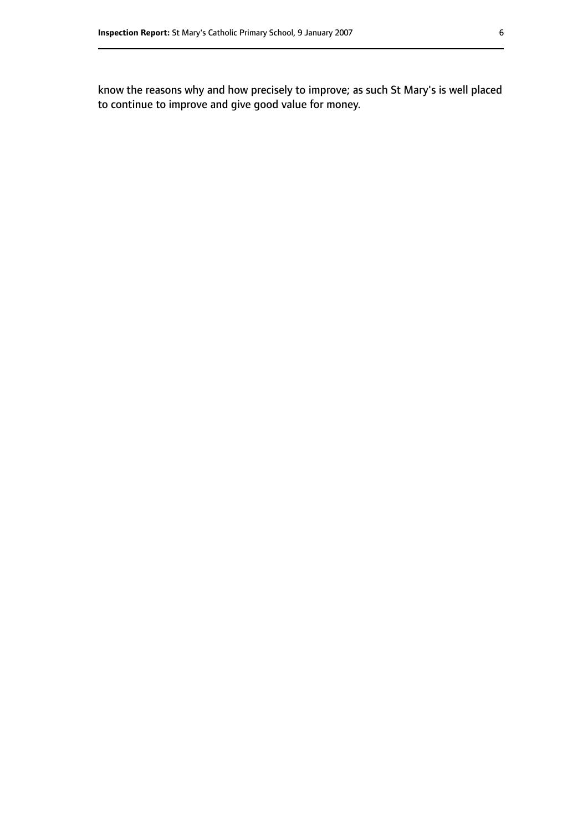know the reasons why and how precisely to improve; as such St Mary's is well placed to continue to improve and give good value for money.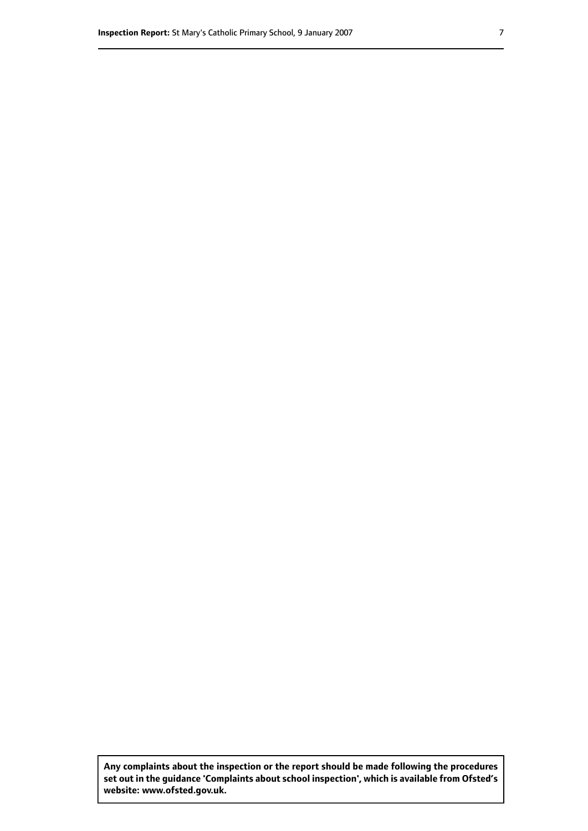**Any complaints about the inspection or the report should be made following the procedures set out inthe guidance 'Complaints about school inspection', whichis available from Ofsted's website: www.ofsted.gov.uk.**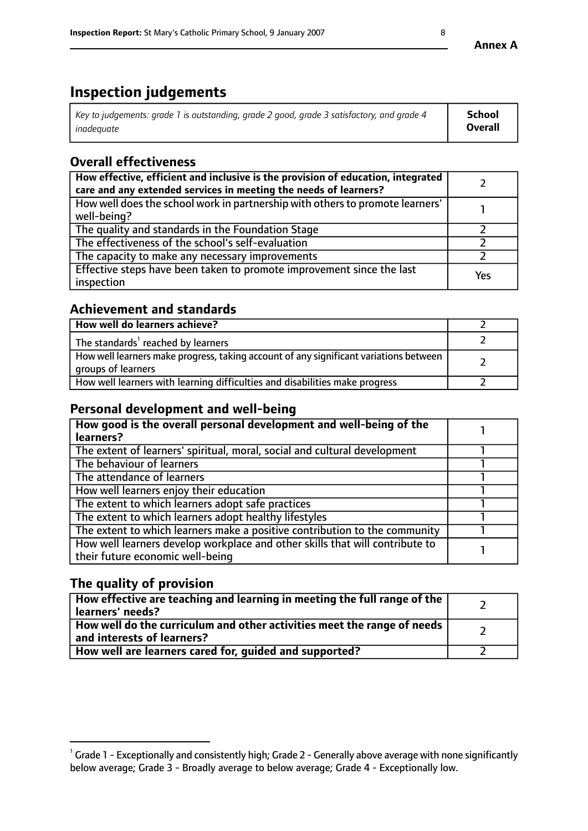## **Inspection judgements**

| Key to judgements: grade 1 is outstanding, grade 2 good, grade 3 satisfactory, and grade 4 | School         |
|--------------------------------------------------------------------------------------------|----------------|
| inadeauate                                                                                 | <b>Overall</b> |

## **Overall effectiveness**

| How effective, efficient and inclusive is the provision of education, integrated<br>care and any extended services in meeting the needs of learners? |     |
|------------------------------------------------------------------------------------------------------------------------------------------------------|-----|
| How well does the school work in partnership with others to promote learners'<br>well-being?                                                         |     |
| The quality and standards in the Foundation Stage                                                                                                    |     |
| The effectiveness of the school's self-evaluation                                                                                                    |     |
| The capacity to make any necessary improvements                                                                                                      |     |
| Effective steps have been taken to promote improvement since the last<br>inspection                                                                  | Yes |

## **Achievement and standards**

| How well do learners achieve?                                                                               |  |
|-------------------------------------------------------------------------------------------------------------|--|
| The standards <sup>1</sup> reached by learners                                                              |  |
| How well learners make progress, taking account of any significant variations between<br>groups of learners |  |
| How well learners with learning difficulties and disabilities make progress                                 |  |

## **Personal development and well-being**

| How good is the overall personal development and well-being of the                                               |  |
|------------------------------------------------------------------------------------------------------------------|--|
| learners?                                                                                                        |  |
| The extent of learners' spiritual, moral, social and cultural development                                        |  |
| The behaviour of learners                                                                                        |  |
| The attendance of learners                                                                                       |  |
| How well learners enjoy their education                                                                          |  |
| The extent to which learners adopt safe practices                                                                |  |
| The extent to which learners adopt healthy lifestyles                                                            |  |
| The extent to which learners make a positive contribution to the community                                       |  |
| How well learners develop workplace and other skills that will contribute to<br>their future economic well-being |  |

## **The quality of provision**

| How effective are teaching and learning in meeting the full range of the<br>  learners' needs?                      |  |
|---------------------------------------------------------------------------------------------------------------------|--|
| $\mid$ How well do the curriculum and other activities meet the range of needs<br>$\mid$ and interests of learners? |  |
| How well are learners cared for, guided and supported?                                                              |  |

 $^1$  Grade 1 - Exceptionally and consistently high; Grade 2 - Generally above average with none significantly below average; Grade 3 - Broadly average to below average; Grade 4 - Exceptionally low.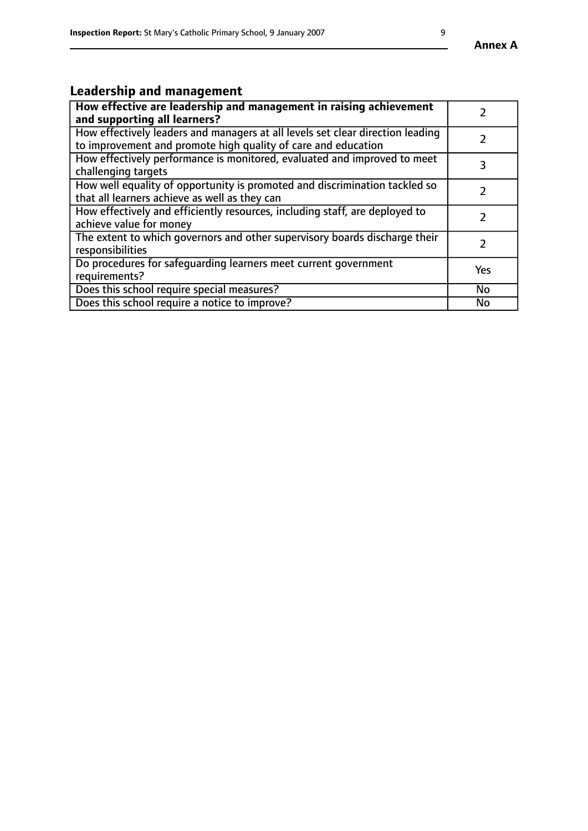## **Leadership and management**

| How effective are leadership and management in raising achievement<br>and supporting all learners?                                              |               |
|-------------------------------------------------------------------------------------------------------------------------------------------------|---------------|
| How effectively leaders and managers at all levels set clear direction leading<br>to improvement and promote high quality of care and education |               |
| How effectively performance is monitored, evaluated and improved to meet<br>challenging targets                                                 | 3             |
| How well equality of opportunity is promoted and discrimination tackled so<br>that all learners achieve as well as they can                     |               |
| How effectively and efficiently resources, including staff, are deployed to<br>achieve value for money                                          | $\mathcal{L}$ |
| The extent to which governors and other supervisory boards discharge their<br>responsibilities                                                  |               |
| Do procedures for safequarding learners meet current government<br>requirements?                                                                | Yes           |
| Does this school require special measures?                                                                                                      | No            |
| Does this school require a notice to improve?                                                                                                   | <b>No</b>     |